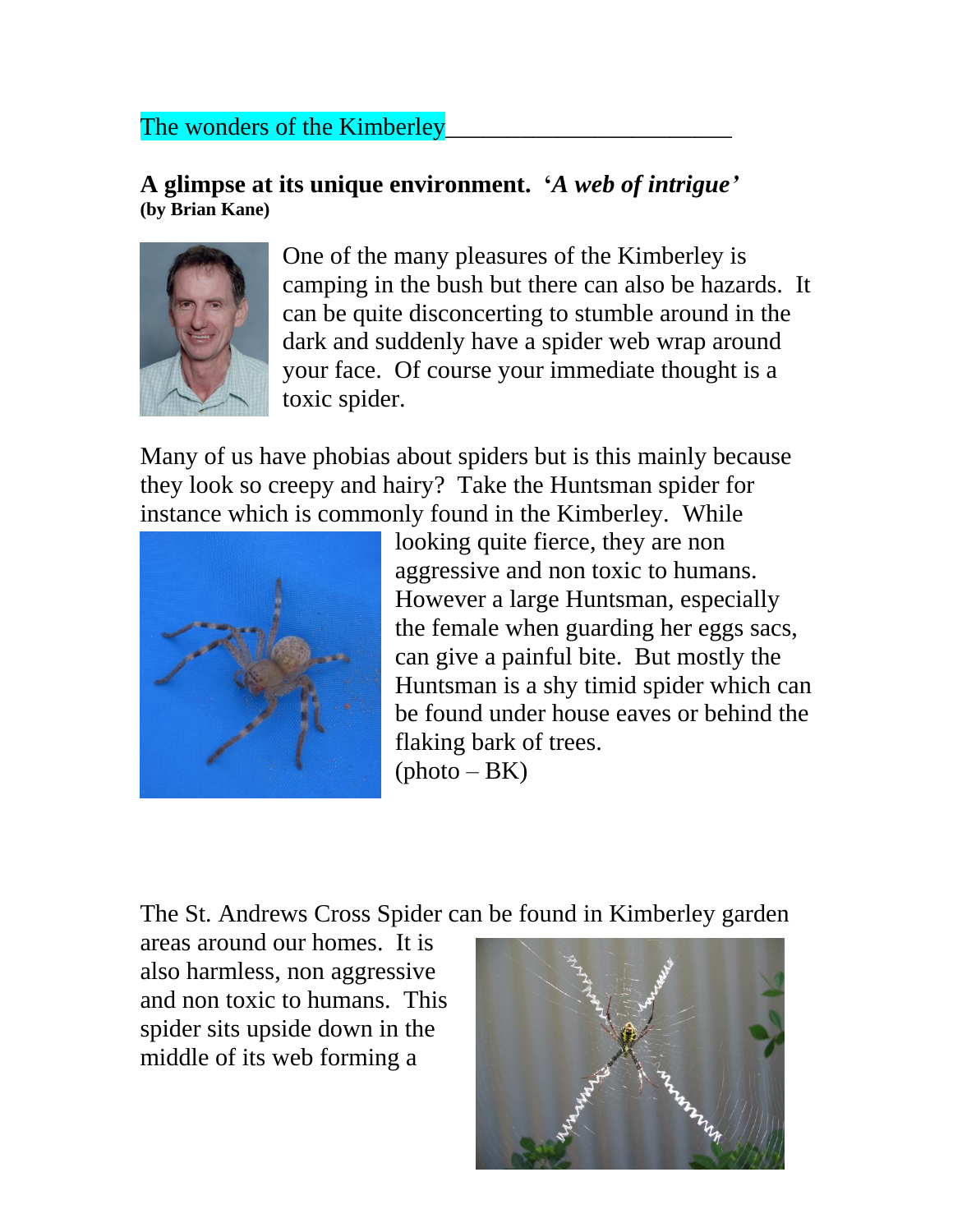## The wonders of the Kimberley

## **A glimpse at its unique environment. '***A web of intrigue'* **(by Brian Kane)**



One of the many pleasures of the Kimberley is camping in the bush but there can also be hazards. It can be quite disconcerting to stumble around in the dark and suddenly have a spider web wrap around your face. Of course your immediate thought is a toxic spider.

Many of us have phobias about spiders but is this mainly because they look so creepy and hairy? Take the Huntsman spider for instance which is commonly found in the Kimberley. While



looking quite fierce, they are non aggressive and non toxic to humans. However a large Huntsman, especially the female when guarding her eggs sacs, can give a painful bite. But mostly the Huntsman is a shy timid spider which can be found under house eaves or behind the flaking bark of trees.  $(photo-BK)$ 

The St. Andrews Cross Spider can be found in Kimberley garden

areas around our homes. It is also harmless, non aggressive and non toxic to humans. This spider sits upside down in the middle of its web forming a